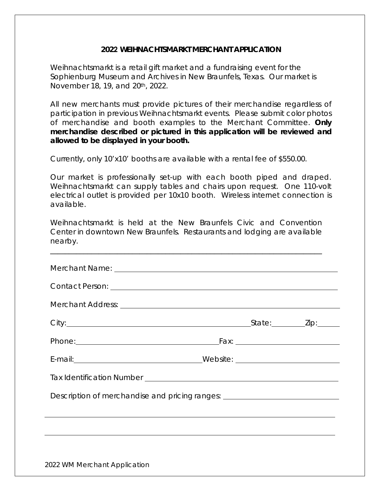## **2022 WEIHNACHTSMARKT MERCHANT APPLICATION**

Weihnachtsmarkt is a retail gift market and a fundraising event for the Sophienburg Museum and Archives in New Braunfels, Texas. Our market is November 18, 19, and 20th, 2022.

All new merchants must provide pictures of their merchandise regardless of participation in previous Weihnachtsmarkt events. Please submit color photos of merchandise and booth examples to the Merchant Committee. *Only merchandise described or pictured in this application will be reviewed and allowed to be displayed in your booth.*

Currently, only 10'x10' booths are available with a rental fee of \$550.00.

Our market is professionally set-up with each booth piped and draped. Weihnachtsmarkt can supply tables and chairs upon request. One 110-volt electrical outlet is provided per 10x10 booth. Wireless internet connection is available.

Weihnachtsmarkt is held at the New Braunfels Civic and Convention Center in downtown New Braunfels. Restaurants and lodging are available nearby.

\_\_\_\_\_\_\_\_\_\_\_\_\_\_\_\_\_\_\_\_\_\_\_\_\_\_\_\_\_\_\_\_\_\_\_\_\_\_\_\_\_\_\_\_\_\_\_\_\_\_\_\_\_\_\_\_\_\_\_\_\_\_\_\_\_\_\_\_\_\_\_\_\_

| Description of merchandise and pricing ranges: _________________________________ |  |  |
|----------------------------------------------------------------------------------|--|--|
|                                                                                  |  |  |
|                                                                                  |  |  |
|                                                                                  |  |  |
| 2022 WM Merchant Application                                                     |  |  |